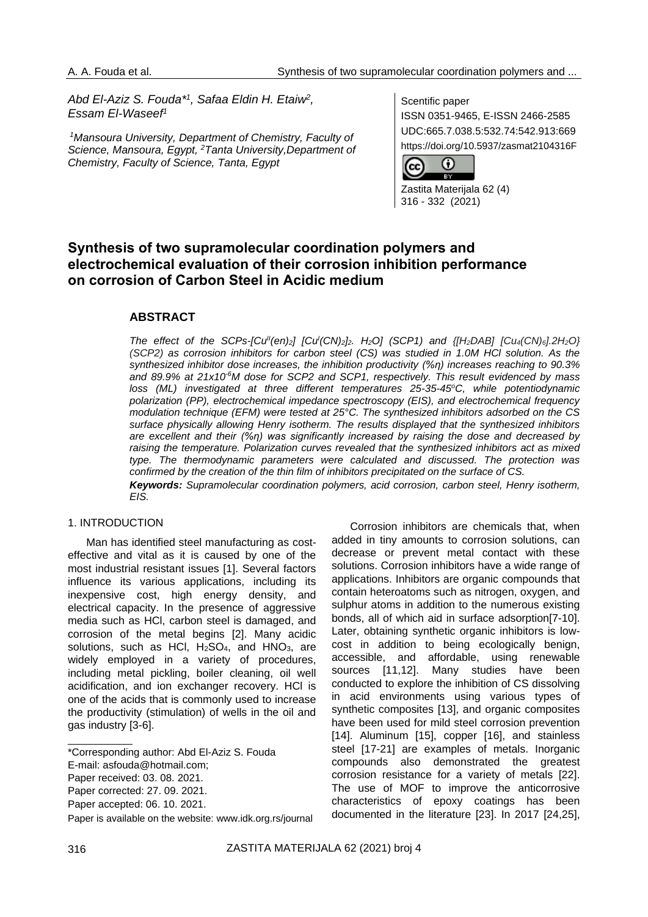*Abd El-Aziz S. Fouda\* 1 , Safaa Eldin H. Etaiw<sup>2</sup> , Essam El-Waseef<sup>1</sup>*

*<sup>1</sup>Mansoura University, Department of Chemistry, Faculty of Science, Mansoura, Egypt, <sup>2</sup>Tanta University,Department of Chemistry, Faculty of Science, Tanta, Egypt* 

Scentific paper

ISSN 0351-9465, E-ISSN 2466-2585 UDC:665.7.038.5:532.74:542.913:669 https://doi.org/10.5937/zasmat2104316F



Zastita Materijala 62 (4) 316 - 332 (2021)

# **Synthesis of two supramolecular coordination polymers and electrochemical evaluation of their corrosion inhibition performance on corrosion of Carbon Steel in Acidic medium**

# **ABSTRACT**

The effect of the SCPs-[Cu<sup>||</sup>(en)<sub>2</sub>] [Cu<sup>|</sup>(CN)<sub>2</sub>]<sub>2</sub>. H<sub>2</sub>O] (SCP1) and {[H<sub>2</sub>DAB] [Cu<sub>4</sub>(CN)<sub>6</sub>].2H<sub>2</sub>O} *(SCP2) as corrosion inhibitors for carbon steel (CS) was studied in 1.0M HCl solution. As the synthesized inhibitor dose increases, the inhibition productivity (%η) increases reaching to 90.3% and 89.9% at 21x10-6M dose for SCP2 and SCP1, respectively. This result evidenced by mass loss (ML) investigated at three different temperatures 25-35-45<sup>o</sup>C, while potentiodynamic polarization (PP), electrochemical impedance spectroscopy (EIS), and electrochemical frequency modulation technique (EFM) were tested at 25°C. The synthesized inhibitors adsorbed on the CS surface physically allowing Henry isotherm. The results displayed that the synthesized inhibitors are excellent and their (%η) was significantly increased by raising the dose and decreased by raising the temperature. Polarization curves revealed that the synthesized inhibitors act as mixed type. The thermodynamic parameters were calculated and discussed. The protection was confirmed by the creation of the thin film of inhibitors precipitated on the surface of CS. Keywords: Supramolecular coordination polymers, acid corrosion, carbon steel, Henry isotherm, EIS.*

#### 1. INTRODUCTION

Man has identified steel manufacturing as costeffective and vital as it is caused by one of the most industrial resistant issues [1]. Several factors influence its various applications, including its inexpensive cost, high energy density, and electrical capacity. In the presence of aggressive media such as HCl, carbon steel is damaged, and corrosion of the metal begins [2]. Many acidic solutions, such as HCl, H<sub>2</sub>SO<sub>4</sub>, and HNO<sub>3</sub>, are widely employed in a variety of procedures, including metal pickling, boiler cleaning, oil well acidification, and ion exchanger recovery. HCl is one of the acids that is commonly used to increase the productivity (stimulation) of wells in the oil and gas industry [3-6].

Corrosion inhibitors are chemicals that, when added in tiny amounts to corrosion solutions, can decrease or prevent metal contact with these solutions. Corrosion inhibitors have a wide range of applications. Inhibitors are organic compounds that contain heteroatoms such as nitrogen, oxygen, and sulphur atoms in addition to the numerous existing bonds, all of which aid in surface adsorption[7-10]. Later, obtaining synthetic organic inhibitors is lowcost in addition to being ecologically benign, accessible, and affordable, using renewable sources [11,12]. Many studies have been conducted to explore the inhibition of CS dissolving in acid environments using various types of synthetic composites [13], and organic composites have been used for mild steel corrosion prevention [14]. Aluminum [15], copper [16], and stainless steel [17-21] are examples of metals. Inorganic compounds also demonstrated the greatest corrosion resistance for a variety of metals [22]. The use of MOF to improve the anticorrosive characteristics of epoxy coatings has been documented in the literature [23]. In 2017 [24,25],

<sup>\*</sup>Corresponding author: Abd El-Aziz S. Fouda

E-mail: asfouda@hotmail.com;

Paper received: 03. 08. 2021.

Paper corrected: 27. 09. 2021.

Paper accepted: 06. 10. 2021.

Paper is available on the website: [www.idk.org.rs/journal](http://www.idk.org.rs/journal)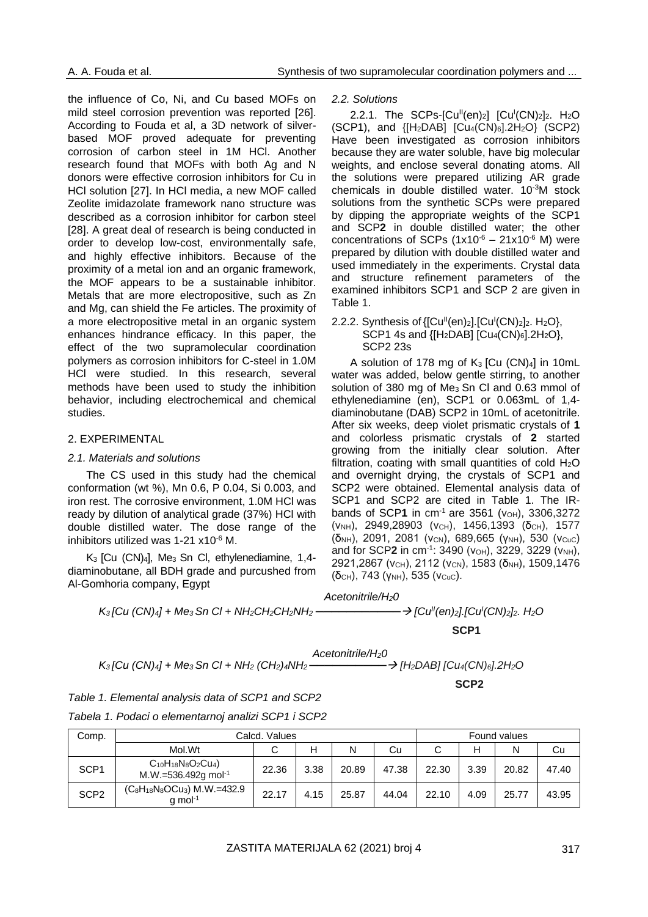the influence of Co, Ni, and Cu based MOFs on mild steel corrosion prevention was reported [26]. According to Fouda et al, a 3D network of silverbased MOF proved adequate for preventing corrosion of carbon steel in 1M HCl. Another research found that MOFs with both Ag and N donors were effective corrosion inhibitors for Cu in HCl solution [27]. In HCl media, a new MOF called Zeolite imidazolate framework nano structure was described as a corrosion inhibitor for carbon steel [28]. A great deal of research is being conducted in order to develop low-cost, environmentally safe, and highly effective inhibitors. Because of the proximity of a metal ion and an organic framework, the MOF appears to be a sustainable inhibitor. Metals that are more electropositive, such as Zn and Mg, can shield the Fe articles. The proximity of a more electropositive metal in an organic system enhances hindrance efficacy. In this paper, the effect of the two supramolecular coordination polymers as corrosion inhibitors for C-steel in 1.0M HCl were studied. In this research, several methods have been used to study the inhibition behavior, including electrochemical and chemical studies.

### 2. EXPERIMENTAL

#### *2.1. Materials and solutions*

The CS used in this study had the chemical conformation (wt %), Mn 0.6, P 0.04, Si 0.003, and iron rest. The corrosive environment, 1.0M HCl was ready by dilution of analytical grade (37%) HCl with double distilled water. The dose range of the inhibitors utilized was 1-21 x10-6 M.

K3 [Cu (CN)4], Me3 Sn Cl, ethylenediamine, 1,4 diaminobutane, all BDH grade and purcushed from Al-Gomhoria company, Egypt

*2.2. Solutions*

2.2.1. The SCPs- $[Cu^{||}(en)_2]$   $[Cu^{||}(CN)_2]_2$ . H<sub>2</sub>O  $(SCP1)$ , and  ${H_2DAB}$   $[Cu_4(CN)_6]$ .  $2H_2O$   $(SCP2)$ Have been investigated as corrosion inhibitors because they are water soluble, have big molecular weights, and enclose several donating atoms. All the solutions were prepared utilizing AR grade chemicals in double distilled water. 10-3M stock solutions from the synthetic SCPs were prepared by dipping the appropriate weights of the SCP1 and SCP**2** in double distilled water; the other concentrations of SCPs  $(1x10^{-6} - 21x10^{-6} M)$  were prepared by dilution with double distilled water and used immediately in the experiments. Crystal data and structure refinement parameters of the examined inhibitors SCP1 and SCP 2 are given in Table 1.

#### 2.2.2. Synthesis of  ${[Cu<sup>II</sup>(en)<sub>2</sub>]}$ .  $[Cu<sup>I</sup>(CN)<sub>2</sub>]$ <sub>2</sub>. H<sub>2</sub>O}, SCP1 4s and  ${H_2DAB}$   $[Cu_4(CN)_6]$ .  $2H_2O$ , SCP2 23s

A solution of 178 mg of  $K_3$  [Cu (CN)4] in 10mL water was added, below gentle stirring, to another solution of 380 mg of Me<sub>3</sub> Sn Cl and 0.63 mmol of ethylenediamine (en), SCP1 or 0.063mL of 1,4 diaminobutane (DAB) SCP2 in 10mL of acetonitrile. After six weeks, deep violet prismatic crystals of **1**  and colorless prismatic crystals of **2** started growing from the initially clear solution. After filtration, coating with small quantities of cold  $H_2O$ and overnight drying, the crystals of SCP1 and SCP2 were obtained. Elemental analysis data of SCP1 and SCP2 are cited in Table 1. The IRbands of SCP1 in cm<sup>-1</sup> are 3561 (VOH), 3306,3272 (V<sub>NH</sub>), 2949,28903 (V<sub>CH</sub>), 1456,1393 (δ<sub>CH</sub>), 1577  $(δ<sub>NH</sub>)$ , 2091, 2081 (νcn), 689,665 (γNH), 530 (νcuc) and for SCP2 in cm<sup>-1</sup>: 3490 (ν<sub>OH</sub>), 3229, 3229 (ν<sub>NH</sub>), 2921,2867 (ν<sub>CH</sub>), 2112 (ν<sub>CN</sub>), 1583 (δ<sub>NH</sub>), 1509,1476  $(δ<sub>CH</sub>)$ , 743 (γ<sub>NH</sub>), 535 (ν<sub>CuC</sub>).

 *Acetonitrile/H20*

*(CN)2]2. H2O*

**SCP1 (1) SCP1 (1) SCP1 (1) SCP1 (1) SCP1** 

*K3 [Cu (CN)4] + Me3 Sn Cl + NH<sup>2</sup> (CH2)4NH2 ──────────*→ *[H2DAB] [Cu4(CN)6].2H2O Acetonitrile/H20*

**SCP2** 2. The control of the control of the control of the control of the control of the control of the control of the control of the control of the control of the control of the control of the control of the control of t

| Table 1. Elemental analysis data of SCP1 and SCP2   |  |
|-----------------------------------------------------|--|
| Tabela 1. Podaci o elementarnoj analizi SCP1 i SCP2 |  |

| Comp.            | Calcd. Values                                               |       |      |       |       |       | Found values |       |       |  |
|------------------|-------------------------------------------------------------|-------|------|-------|-------|-------|--------------|-------|-------|--|
|                  | Mol.Wt                                                      | С     | н    | N     | Cu    | С     | н            | N     | Cu    |  |
| SCP <sub>1</sub> | $C_{10}H_{18}N_8O_2Cu_4$<br>M.W.=536.492g mol <sup>-1</sup> | 22.36 | 3.38 | 20.89 | 47.38 | 22.30 | 3.39         | 20.82 | 47.40 |  |
| SCP <sub>2</sub> | $(C_8H_{18}N_8OCu_3)$ M.W.=432.9<br>$q$ mol <sup>-1</sup>   | 22.17 | 4.15 | 25.87 | 44.04 | 22.10 | 4.09         | 25.77 | 43.95 |  |

*K*<sub>3</sub> [Cu (CN)<sub>4</sub>] + Me<sub>3</sub> Sn Cl + NH<sub>2</sub>CH<sub>2</sub>CH<sub>2</sub>NH<sub>2</sub> –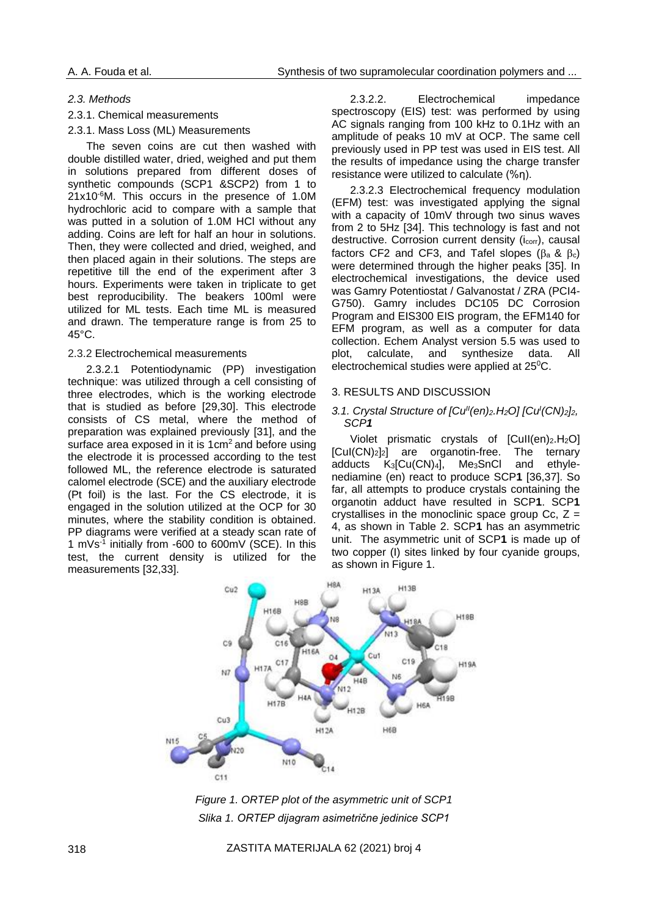### *2.3. Methods*

#### 2.3.1. Chemical measurements

#### 2.3.1. Mass Loss (ML) Measurements

The seven coins are cut then washed with double distilled water, dried, weighed and put them in solutions prepared from different doses of synthetic compounds (SCP1 &SCP2) from 1 to 21x10-6M. This occurs in the presence of 1.0M hydrochloric acid to compare with a sample that was putted in a solution of 1.0M HCl without any adding. Coins are left for half an hour in solutions. Then, they were collected and dried, weighed, and then placed again in their solutions. The steps are repetitive till the end of the experiment after 3 hours. Experiments were taken in triplicate to get best reproducibility. The beakers 100ml were utilized for ML tests. Each time ML is measured and drawn. The temperature range is from 25 to 45°C.

### 2.3.2 Electrochemical measurements

2.3.2.1 Potentiodynamic (PP) investigation technique: was utilized through a cell consisting of three electrodes, which is the working electrode that is studied as before [29,30]. This electrode consists of CS metal, where the method of preparation was explained previously [31], and the surface area exposed in it is  $1 \text{cm}^2$  and before using the electrode it is processed according to the test followed ML, the reference electrode is saturated calomel electrode (SCE) and the auxiliary electrode (Pt foil) is the last. For the CS electrode, it is engaged in the solution utilized at the OCP for 30 minutes, where the stability condition is obtained. PP diagrams were verified at a steady scan rate of 1 mVs-1 initially from -600 to 600mV (SCE). In this test, the current density is utilized for the measurements [32,33].

2.3.2.2. Electrochemical impedance spectroscopy (EIS) test: was performed by using AC signals ranging from 100 kHz to 0.1Hz with an amplitude of peaks 10 mV at OCP. The same cell previously used in PP test was used in EIS test. All the results of impedance using the charge transfer resistance were utilized to calculate (%η).

2.3.2.3 Electrochemical frequency modulation (EFM) test: was investigated applying the signal with a capacity of 10mV through two sinus waves from 2 to 5Hz [34]. This technology is fast and not destructive. Corrosion current density (i<sub>corr</sub>), causal factors CF2 and CF3, and Tafel slopes  $(\beta_a \& \beta_c)$ were determined through the higher peaks [35]. In electrochemical investigations, the device used was Gamry Potentiostat / Galvanostat / ZRA (PCI4- G750). Gamry includes DC105 DC Corrosion Program and EIS300 EIS program, the EFM140 for EFM program, as well as a computer for data collection. Echem Analyst version 5.5 was used to plot, calculate, and synthesize data. All electrochemical studies were applied at 25<sup>o</sup>C.

#### 3. RESULTS AND DISCUSSION

### *3.1. Crystal Structure of [Cu<sup>||</sup>*(en)<sub>2</sub>*.H*<sub>2</sub>*O]* [Cu<sup>|</sup>(CN)<sub>2</sub>]<sub>2</sub>*, SCP1*

Violet prismatic crystals of  $[Cull(en)_2.H_2O]$ [CuI(CN)2]2] are organotin-free. The ternary adducts  $K_3$ [Cu(CN)<sub>4</sub>], Me<sub>3</sub>SnCl and ethylenediamine (en) react to produce SCP**1** [36,37]. So far, all attempts to produce crystals containing the organotin adduct have resulted in SCP**1**. SCP**1** crystallises in the monoclinic space group Cc,  $Z =$ 4, as shown in Table 2. SCP**1** has an asymmetric unit. The asymmetric unit of SCP**1** is made up of two copper (I) sites linked by four cyanide groups, as shown in Figure 1.



*Figure 1. ORTEP plot of the asymmetric unit of SCP1 Slika 1. ORTEP dijagram asimetrične jedinice SCP1*

318 ZASTITA MATERIJALA 62 (2021) broj 4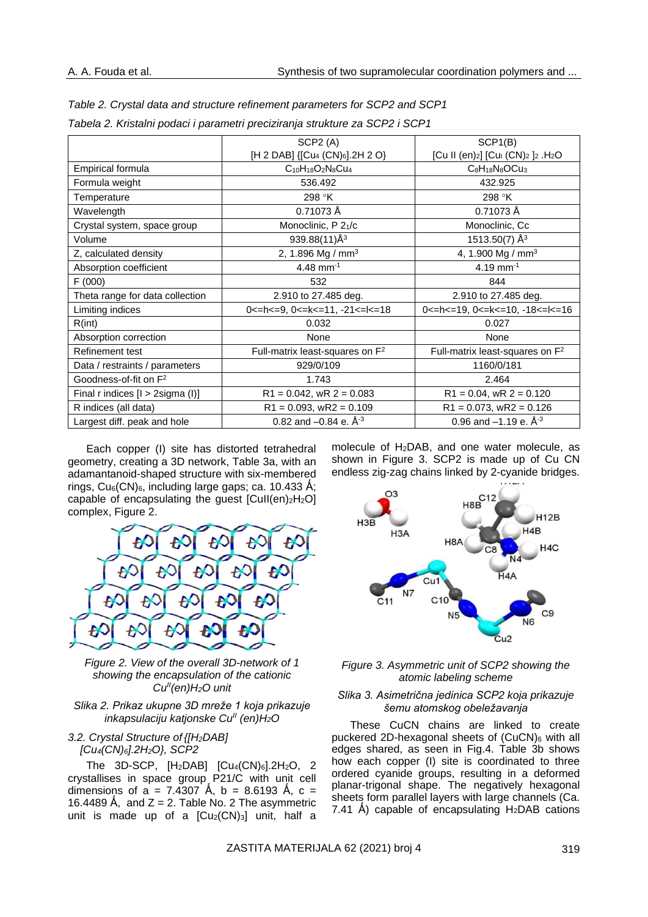|                                   | SCP2(A)                                              | SCP1(B)                                                                                        |
|-----------------------------------|------------------------------------------------------|------------------------------------------------------------------------------------------------|
|                                   | [H 2 DAB] {[Cu4 (CN)6].2H 2 O}                       | [Cu II (en) <sub>2</sub> ] [Cu <sub>I</sub> (CN) <sub>2</sub> ] <sub>2</sub> .H <sub>2</sub> O |
| Empirical formula                 | $C_{10}H_{18}O_2N_8Cu_4$                             | $C_8H_{18}N_8OCu_3$                                                                            |
| Formula weight                    | 536.492                                              | 432.925                                                                                        |
| Temperature                       | 298 °K                                               | 298 °K                                                                                         |
| Wavelength                        | 0.71073 Å                                            | 0.71073 Å                                                                                      |
| Crystal system, space group       | Monoclinic, P 21/c                                   | Monoclinic, Cc                                                                                 |
| Volume                            | 939.88(11)Å <sup>3</sup>                             | 1513.50(7) $\AA$ <sup>3</sup>                                                                  |
| Z, calculated density             | 2, 1.896 Mg / mm <sup>3</sup>                        | 4, 1.900 Mg / mm <sup>3</sup>                                                                  |
| Absorption coefficient            | 4.48 mm <sup>-1</sup>                                | 4.19 mm <sup>-1</sup>                                                                          |
| F(000)                            | 532                                                  | 844                                                                                            |
| Theta range for data collection   | 2.910 to 27.485 deg.                                 | 2.910 to 27.485 deg.                                                                           |
| Limiting indices                  | 0 <= h < $=$ 9, 0 < $=$ k < $=$ 11, $-21$ < $=$ $18$ | 0 <= h < $=$ 19, 0 < $=$ k < $=$ 10, -18 < $=$ l < $=$ 16                                      |
| R(int)                            | 0.032                                                | 0.027                                                                                          |
| Absorption correction             | None                                                 | None                                                                                           |
| Refinement test                   | Full-matrix least-squares on F <sup>2</sup>          | Full-matrix least-squares on F <sup>2</sup>                                                    |
| Data / restraints / parameters    | 929/0/109                                            | 1160/0/181                                                                                     |
| Goodness-of-fit on F <sup>2</sup> | 1.743                                                | 2.464                                                                                          |
| Final r indices [I > 2sigma (I)]  | $R1 = 0.042$ , wR $2 = 0.083$                        | $R1 = 0.04$ , wR $2 = 0.120$                                                                   |
| R indices (all data)              | $R1 = 0.093$ , wR2 = 0.109                           | $R1 = 0.073$ , wR2 = 0.126                                                                     |
| Largest diff. peak and hole       | 0.82 and $-0.84$ e. $\AA^{-3}$                       | 0.96 and $-1.19$ e. $\AA^{-3}$                                                                 |

*Table 2. Crystal data and structure refinement parameters for SCP2 and SCP1 Tabela 2. Kristalni podaci i parametri preciziranja strukture za SCP2 i SCP1*

Each copper (I) site has distorted tetrahedral geometry, creating a 3D network, Table 3a, with an adamantanoid-shaped structure with six-membered rings,  $Cu<sub>6</sub>(CN)<sub>6</sub>$ , including large gaps; ca. 10.433 Å; capable of encapsulating the guest  $[Cull(en)_2H_2O]$ complex, Figure 2.



*Figure 2. View of the overall 3D-network of 1 showing the encapsulation of the cationic CuII(en)H2O unit*

*Slika 2. Prikaz ukupne 3D mreže 1 koja prikazuje inkapsulaciju katjonske CuII (en)H2O*

# *3.2. Crystal Structure of {[H2DAB] [Cu4(CN)6].2H2O}, SCP2*

The 3D-SCP,  $[H_2DAB]$   $[Cu_4(CN)_6]$ .2H<sub>2</sub>O, 2 crystallises in space group P21/C with unit cell dimensions of a = 7.4307 Å, b = 8.6193 Å, c = 16.4489 Å, and  $Z = 2$ . Table No. 2 The asymmetric unit is made up of a  $[Cu<sub>2</sub>(CN)<sub>3</sub>]$  unit, half a

molecule of H2DAB, and one water molecule, as shown in Figure 3. SCP2 is made up of Cu CN endless zig-zag chains linked by 2-cyanide bridges.



#### *Figure 3. Asymmetric unit of SCP2 showing the atomic labeling scheme*

### *Slika 3. Asimetrična jedinica SCP2 koja prikazuje šemu atomskog obeležavanja*

These CuCN chains are linked to create puckered 2D-hexagonal sheets of  $(CuCN)_6$  with all edges shared, as seen in Fig.4. Table 3b shows how each copper (I) site is coordinated to three ordered cyanide groups, resulting in a deformed planar-trigonal shape. The negatively hexagonal sheets form parallel layers with large channels (Ca. 7.41 Å) capable of encapsulating  $H_2DAB$  cations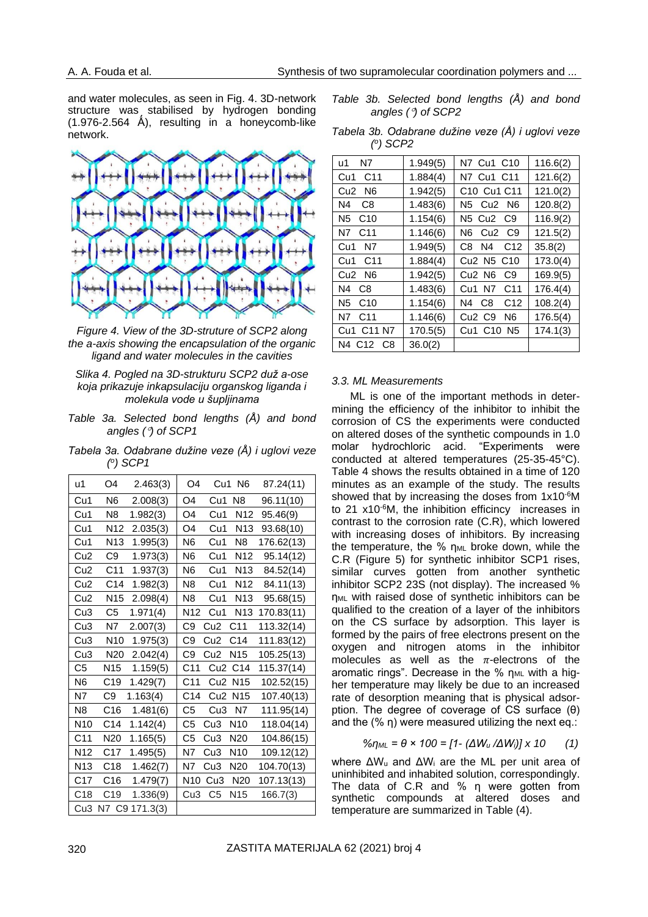and water molecules, as seen in Fig. 4. 3D-network structure was stabilised by hydrogen bonding  $(1.976-2.564 \text{ Å})$ , resulting in a honeycomb-like network.



*Figure 4. View of the 3D-struture of SCP2 along the a-axis showing the encapsulation of the organic ligand and water molecules in the cavities*

### *Slika 4. Pogled na 3D-strukturu SCP2 duž a-ose koja prikazuje inkapsulaciju organskog liganda i molekula vode u šupljinama*

*Table 3a. Selected bond lengths (Å) and bond angles () of SCP1*

*Tabela 3a. Odabrane dužine veze (Å) i uglovi veze ( o ) SCP1*

| u1              | O4              | 2.463(3)    | O <sub>4</sub>  | Cu1             | N6              | 87.24(11)  |
|-----------------|-----------------|-------------|-----------------|-----------------|-----------------|------------|
| Cu1             | N <sub>6</sub>  | 2.008(3)    | O4              | Cu1             | N8              | 96.11(10)  |
| Cu1             | N <sub>8</sub>  | 1.982(3)    | O4              | Cu1             | N12             | 95.46(9)   |
| Cu1             | N <sub>12</sub> | 2.035(3)    | O4              | Cu1             | N <sub>13</sub> | 93.68(10)  |
| Cu1             | N <sub>13</sub> | 1.995(3)    | N6              | Cu1             | N8              | 176.62(13) |
| Cu <sub>2</sub> | C9              | 1.973(3)    | N6              | Cu1             | N <sub>12</sub> | 95.14(12)  |
| Cu <sub>2</sub> | C <sub>11</sub> | 1.937(3)    | N6              | Cu1             | N <sub>13</sub> | 84.52(14)  |
| Cu <sub>2</sub> | C14             | 1.982(3)    | N <sub>8</sub>  | Cu1             | N <sub>12</sub> | 84.11(13)  |
| Cu2             | N <sub>15</sub> | 2.098(4)    | N8              | Cu1             | N <sub>13</sub> | 95.68(15)  |
| Cu3             | C5              | 1.971(4)    | N <sub>12</sub> | Cu1             | N <sub>13</sub> | 170.83(11) |
| Cu <sub>3</sub> | N7              | 2.007(3)    | C9              | Cu <sub>2</sub> | C <sub>11</sub> | 113.32(14) |
| Cu3             | N <sub>10</sub> | 1.975(3)    | C9              | Cu <sub>2</sub> | C <sub>14</sub> | 111.83(12) |
| Cu <sub>3</sub> | N20             | 2.042(4)    | C9              | Cu <sub>2</sub> | N <sub>15</sub> | 105.25(13) |
| C <sub>5</sub>  | N <sub>15</sub> | 1.159(5)    | C <sub>11</sub> | Cu <sub>2</sub> | C <sub>14</sub> | 115.37(14) |
| N <sub>6</sub>  | C <sub>19</sub> | 1.429(7)    | C <sub>11</sub> | Cu <sub>2</sub> | N <sub>15</sub> | 102.52(15) |
| N7              | C9              | 1.163(4)    | C14             | Cu <sub>2</sub> | N <sub>15</sub> | 107.40(13) |
| N8              | C <sub>16</sub> | 1.481(6)    | C5              | Cu <sub>3</sub> | N7              | 111.95(14) |
| N <sub>10</sub> | C14             | 1.142(4)    | C5              | Cu <sub>3</sub> | N <sub>10</sub> | 118.04(14) |
| C11             | N20             | 1.165(5)    | C5              | Cu <sub>3</sub> | N <sub>20</sub> | 104.86(15) |
| N <sub>12</sub> | C17             | 1.495(5)    | N7              | Cu <sub>3</sub> | N <sub>10</sub> | 109.12(12) |
| N <sub>13</sub> | C <sub>18</sub> | 1.462(7)    | N7              | Cu <sub>3</sub> | N <sub>20</sub> | 104.70(13) |
| C17             | C16             | 1.479(7)    | N <sub>10</sub> | Cu3             | N <sub>20</sub> | 107.13(13) |
| C <sub>18</sub> | C19             | 1.336(9)    | Cu3             | C <sub>5</sub>  | N <sub>15</sub> | 166.7(3)   |
| Cu3             | N7              | C9 171.3(3) |                 |                 |                 |            |

*Table 3b. Selected bond lengths (Å) and bond angles () of SCP2*

*Tabela 3b. Odabrane dužine veze (Å) i uglovi veze ( o ) SCP2*

| u1<br>Ν7                           | 1.949(5) | N7 Cu1 C10                                        | 116.6(2) |
|------------------------------------|----------|---------------------------------------------------|----------|
| C <sub>11</sub><br>Cu1             | 1.884(4) | N7 Cu1 C11                                        | 121.6(2) |
| N6<br>Cu <sub>2</sub>              | 1.942(5) | C <sub>10</sub> Cu <sub>1</sub> C <sub>11</sub>   | 121.0(2) |
| N4<br>C <sub>8</sub>               | 1.483(6) | N5<br>Cu <sub>2</sub><br>N6                       | 120.8(2) |
| N <sub>5</sub><br>C10              | 1.154(6) | N5<br>Cu <sub>2</sub><br>C9                       | 116.9(2) |
| C11<br>N7                          | 1.146(6) | N6<br>C9<br>Cu2                                   | 121.5(2) |
| Cu1<br>Ν7                          | 1.949(5) | N4<br>C8<br>C <sub>12</sub>                       | 35.8(2)  |
| C <sub>11</sub><br>Cu <sub>1</sub> | 1.884(4) | Cu <sub>2</sub> N <sub>5</sub><br>C <sub>10</sub> | 173.0(4) |
| N <sub>6</sub><br>Cu <sub>2</sub>  | 1.942(5) | Cu <sub>2</sub> N <sub>6</sub><br>C9              | 169.9(5) |
| N4<br>C8                           | 1.483(6) | N7<br>C11<br>Cu1                                  | 176.4(4) |
| N5<br>C <sub>10</sub>              | 1.154(6) | C8<br>C <sub>12</sub><br>N4                       | 108.2(4) |
| N7<br>C <sub>11</sub>              | 1.146(6) | Cu <sub>2</sub> C <sub>9</sub><br>N6              | 176.5(4) |
| C11 N7<br>Cu1                      | 170.5(5) | Cu1<br>C <sub>10</sub><br>N5                      | 174.1(3) |
| N4<br>C8<br>C12                    | 36.0(2)  |                                                   |          |

#### *3.3. ML Measurements*

ML is one of the important methods in determining the efficiency of the inhibitor to inhibit the corrosion of CS the experiments were conducted on altered doses of the synthetic compounds in 1.0 molar hydrochloric acid. "Experiments were conducted at altered temperatures (25-35-45°C). Table 4 shows the results obtained in a time of 120 minutes as an example of the study. The results showed that by increasing the doses from 1x10<sup>-6</sup>M to 21 x10<sup>-6</sup>M, the inhibition efficincy increases in contrast to the corrosion rate (C.R), which lowered with increasing doses of inhibitors. By increasing the temperature, the  $%$  n<sub>ML</sub> broke down, while the C.R (Figure 5) for synthetic inhibitor SCP1 rises, similar curves gotten from another synthetic inhibitor SCP2 23S (not display). The increased % η<sub>ML</sub> with raised dose of synthetic inhibitors can be qualified to the creation of a layer of the inhibitors on the CS surface by adsorption. This layer is formed by the pairs of free electrons present on the oxygen and nitrogen atoms in the inhibitor molecules as well as the  $\pi$ -electrons of the aromatic rings". Decrease in the %  $n_{ML}$  with a higher temperature may likely be due to an increased rate of desorption meaning that is physical adsorption. The degree of coverage of CS surface (θ) and the (% η) were measured utilizing the next eq.:

$$
\% \eta_{ML} = \theta \times 100 = [1 - (\Delta W_u / \Delta W_i)] \times 10 \qquad (1)
$$

where  $\Delta W_u$  and  $\Delta W_i$  are the ML per unit area of uninhibited and inhabited solution, correspondingly. The data of C.R and % η were gotten from synthetic compounds at altered doses and temperature are summarized in Table (4).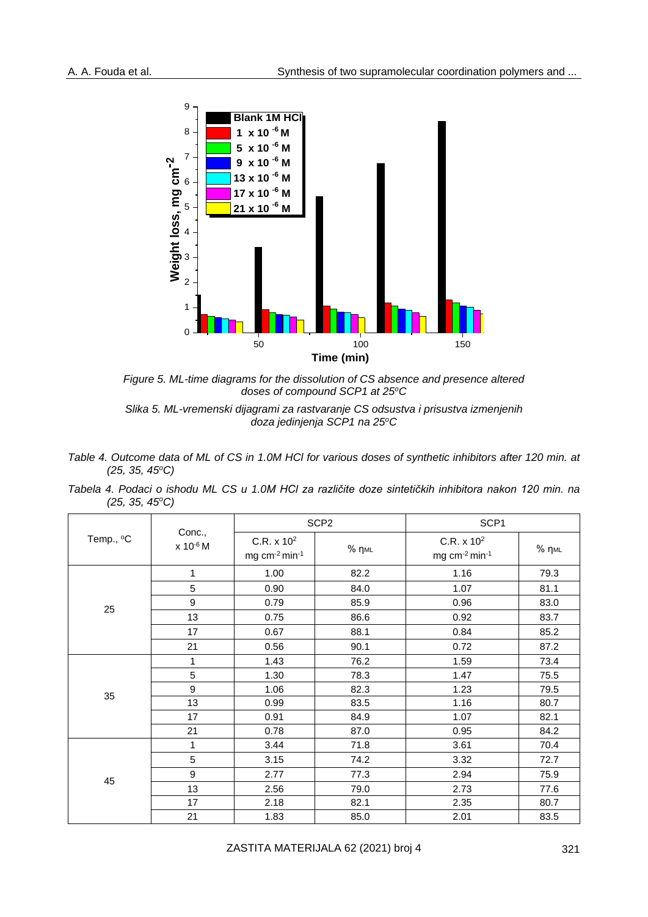

*Figure 5. ML-time diagrams for the dissolution of CS absence and presence altered doses of compound SCP1 at 25<sup>o</sup>C*

- *Table 4. Outcome data of ML of CS in 1.0M HCl for various doses of synthetic inhibitors after 120 min. at (25, 35, 45<sup>o</sup>C)*
- *Tabela 4. Podaci o ishodu ML CS u 1.0M HCl za različite doze sintetičkih inhibitora nakon 120 min. na (25, 35, 45<sup>o</sup>C)*

|           |                                |                                           | SCP <sub>2</sub>         | SCP <sub>1</sub>                                                |       |  |
|-----------|--------------------------------|-------------------------------------------|--------------------------|-----------------------------------------------------------------|-------|--|
| Temp., °C | Conc.,<br>x 10 <sup>-6</sup> M | C.R. x 10 <sup>2</sup><br>mg $cm-2 min-1$ | $%$ $\eta$ <sub>ML</sub> | C.R. x 10 <sup>2</sup><br>mg cm <sup>-2</sup> min <sup>-1</sup> | % пмг |  |
|           | 1                              | 1.00                                      | 82.2                     | 1.16                                                            | 79.3  |  |
|           | 5                              | 0.90                                      | 84.0                     | 1.07                                                            | 81.1  |  |
| 25        | 9                              | 0.79                                      | 85.9                     | 0.96                                                            | 83.0  |  |
|           | 13                             | 0.75                                      | 86.6                     | 0.92                                                            | 83.7  |  |
|           | 17                             | 0.67                                      | 88.1                     | 0.84                                                            | 85.2  |  |
|           | 21                             | 0.56                                      | 90.1                     | 0.72                                                            | 87.2  |  |
|           | 1                              | 1.43                                      | 76.2                     | 1.59                                                            | 73.4  |  |
|           | 5                              | 1.30                                      | 78.3                     | 1.47                                                            | 75.5  |  |
| 35        | 9                              | 1.06                                      | 82.3                     | 1.23                                                            | 79.5  |  |
|           | 13                             | 0.99                                      | 83.5                     | 1.16                                                            | 80.7  |  |
|           | 17                             | 0.91                                      | 84.9                     | 1.07                                                            | 82.1  |  |
|           | 21                             | 0.78                                      | 87.0                     | 0.95                                                            | 84.2  |  |
|           | 1                              | 3.44                                      | 71.8                     | 3.61                                                            | 70.4  |  |
|           | 5                              | 3.15                                      | 74.2                     | 3.32                                                            | 72.7  |  |
| 45        | 9                              | 2.77                                      | 77.3                     | 2.94                                                            | 75.9  |  |
|           | 13                             | 2.56                                      | 79.0                     | 2.73                                                            | 77.6  |  |
|           | 17                             | 2.18                                      | 82.1                     | 2.35                                                            | 80.7  |  |
|           | 21                             | 1.83                                      | 85.0                     | 2.01                                                            | 83.5  |  |

*Slika 5. ML-vremenski dijagrami za rastvaranje CS odsustva i prisustva izmenjenih doza jedinjenja SCP1 na 25<sup>o</sup>C*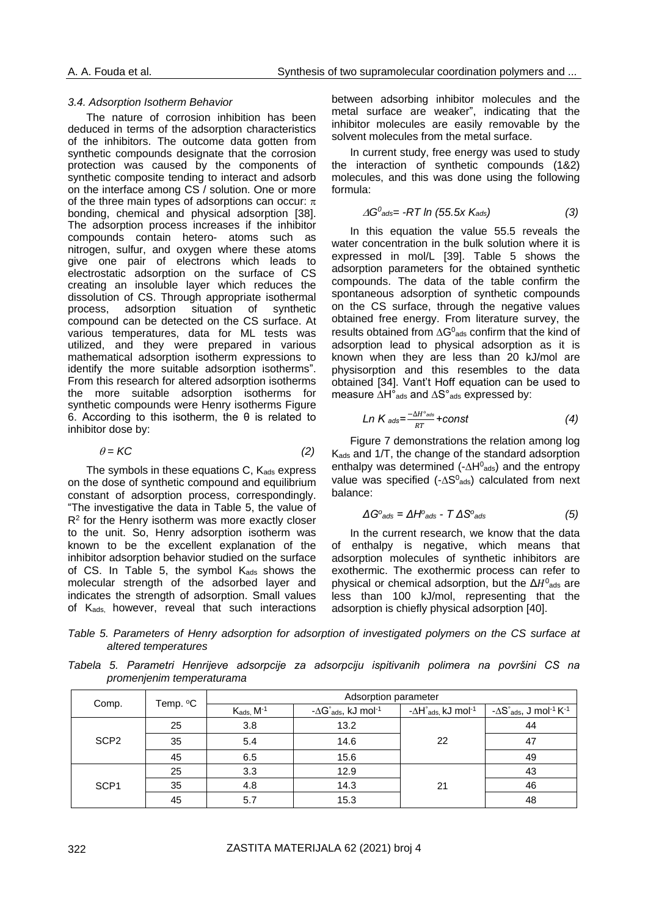#### *3.4. Adsorption Isotherm Behavior*

The nature of corrosion inhibition has been deduced in terms of the adsorption characteristics of the inhibitors. The outcome data gotten from synthetic compounds designate that the corrosion protection was caused by the components of synthetic composite tending to interact and adsorb on the interface among CS / solution. One or more of the three main types of adsorptions can occur:  $\pi$ bonding, chemical and physical adsorption [38]. The adsorption process increases if the inhibitor compounds contain hetero- atoms such as nitrogen, sulfur, and oxygen where these atoms give one pair of electrons which leads to electrostatic adsorption on the surface of CS creating an insoluble layer which reduces the dissolution of CS. Through appropriate isothermal process, adsorption situation of synthetic compound can be detected on the CS surface. At various temperatures, data for ML tests was utilized, and they were prepared in various mathematical adsorption isotherm expressions to identify the more suitable adsorption isotherms". From this research for altered adsorption isotherms the more suitable adsorption isotherms for synthetic compounds were Henry isotherms Figure 6. According to this isotherm, the θ is related to inhibitor dose by:

$$
\theta = KC \tag{2}
$$

The symbols in these equations  $C$ ,  $K_{ads}$  express on the dose of synthetic compound and equilibrium constant of adsorption process, correspondingly. "The investigative the data in Table 5, the value of  $R<sup>2</sup>$  for the Henry isotherm was more exactly closer to the unit. So, Henry adsorption isotherm was known to be the excellent explanation of the inhibitor adsorption behavior studied on the surface of CS. In Table 5, the symbol Kads shows the molecular strength of the adsorbed layer and indicates the strength of adsorption. Small values of K<sub>ads,</sub> however, reveal that such interactions

between adsorbing inhibitor molecules and the metal surface are weaker", indicating that the inhibitor molecules are easily removable by the solvent molecules from the metal surface.

In current study, free energy was used to study the interaction of synthetic compounds (1&2) molecules, and this was done using the following formula:

$$
\Delta G^0_{ads} = -RT \ln (55.5 \times K_{ads}) \tag{3}
$$

In this equation the value 55.5 reveals the water concentration in the bulk solution where it is expressed in mol/L [39]. Table 5 shows the adsorption parameters for the obtained synthetic compounds. The data of the table confirm the spontaneous adsorption of synthetic compounds on the CS surface, through the negative values obtained free energy. From literature survey, the results obtained from  $\Delta G^0$ <sub>ads</sub> confirm that the kind of adsorption lead to physical adsorption as it is known when they are less than 20 kJ/mol are physisorption and this resembles to the data obtained [34]. Vant't Hoff equation can be used to measure ∆H°ads and ∆S°ads expressed by:

$$
Ln Kads=\frac{-\Delta H^{\circ} _{ads}}{RT}+const
$$
 (4)

Figure 7 demonstrations the relation among log Kads and 1/T, the change of the standard adsorption enthalpy was determined ( $-\Delta H^0$ <sub>ads</sub>) and the entropy value was specified (- $\Delta S^0$ <sub>ads</sub>) calculated from next balance:

$$
\Delta G^o_{ads} = \Delta H^o_{ads} - T \Delta S^o_{ads} \tag{5}
$$

In the current research, we know that the data of enthalpy is negative, which means that adsorption molecules of synthetic inhibitors are exothermic. The exothermic process can refer to physical or chemical adsorption, but the  $\Delta H^0{}_{\text{ads}}$  are less than 100 kJ/mol, representing that the adsorption is chiefly physical adsorption [40].

*Table 5. Parameters of Henry adsorption for adsorption of investigated polymers on the CS surface at altered temperatures*

*Tabela 5. Parametri Henrijeve adsorpcije za adsorpciju ispitivanih polimera na površini CS na promenjenim temperaturama*

|                  |          | Adsorption parameter |                                                                                                                        |    |                                                                          |  |  |
|------------------|----------|----------------------|------------------------------------------------------------------------------------------------------------------------|----|--------------------------------------------------------------------------|--|--|
| Comp.            | Temp. °C | $K_{ads}$ , $M^{-1}$ | $-\Delta H^{\circ}$ <sub>ads,</sub> kJ mol $^{\text{-}1}$<br>$-\Delta G^{\circ}$ <sub>ads</sub> , kJ mol <sup>-1</sup> |    | $-\Delta S^{\circ}$ <sub>ads</sub> , J mol <sup>-1</sup> K <sup>-1</sup> |  |  |
|                  | 25       | 3.8                  | 13.2                                                                                                                   |    | 44                                                                       |  |  |
| SCP <sub>2</sub> | 35       | 5.4                  | 14.6                                                                                                                   | 22 | 47                                                                       |  |  |
|                  | 45       | 6.5                  | 15.6                                                                                                                   |    | 49                                                                       |  |  |
|                  | 25       | 3.3                  | 12.9                                                                                                                   |    | 43                                                                       |  |  |
| SCP <sub>1</sub> | 35       | 4.8                  | 14.3                                                                                                                   | 21 | 46                                                                       |  |  |
|                  | 45       | 5.7                  | 15.3                                                                                                                   |    | 48                                                                       |  |  |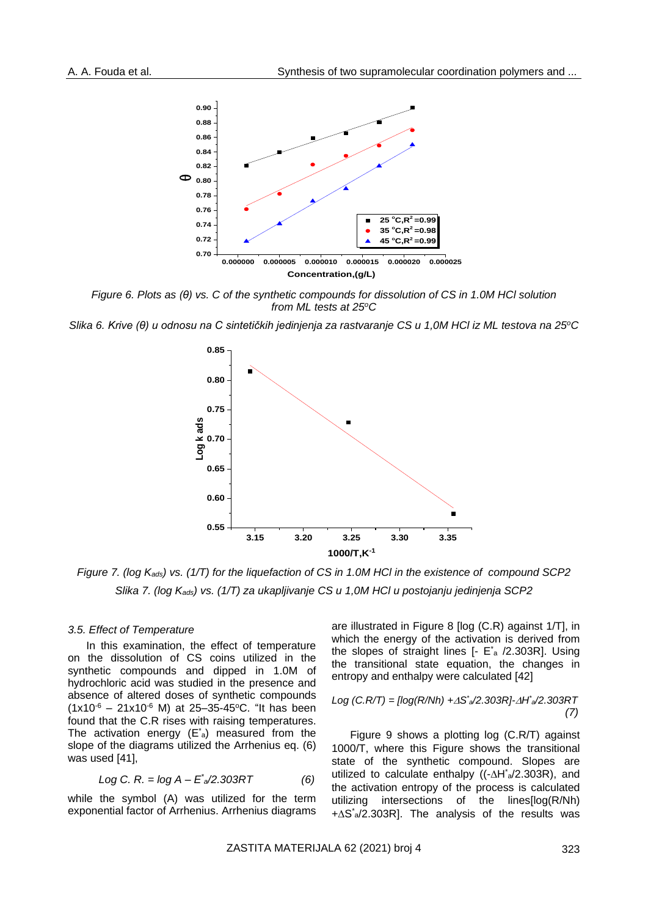

*Figure 6. Plots as (θ) vs. C of the synthetic compounds for dissolution of CS in 1.0M HCl solution from ML tests at 25<sup>o</sup>C*

*Slika 6. Krive (θ) u odnosu na C sintetičkih jedinjenja za rastvaranje CS u 1,0M HCl iz ML testova na 25<sup>o</sup>C*



*Figure 7. (log Kads) vs. (1/T) for the liquefaction of CS in 1.0M HCl in the existence of compound SCP2 Slika 7. (log Kads) vs. (1/T) za ukapljivanje CS u 1,0M HCl u postojanju jedinjenja SCP2*

#### *3.5. Effect of Temperature*

In this examination, the effect of temperature on the dissolution of CS coins utilized in the synthetic compounds and dipped in 1.0M of hydrochloric acid was studied in the presence and absence of altered doses of synthetic compounds  $(1x10^{-6} - 21x10^{-6} M)$  at 25-35-45°C. "It has been found that the C.R rises with raising temperatures. The activation energy  $(E^*_{a})$  measured from the slope of the diagrams utilized the Arrhenius eq. (6) was used [41],

$$
Log C. R. = log A - E^* \sim 2.303 RT
$$
 (6)

while the symbol (A) was utilized for the term exponential factor of Arrhenius. Arrhenius diagrams are illustrated in Figure 8 [log (C.R) against 1/T], in which the energy of the activation is derived from the slopes of straight lines  $[-E^*_{a}/2.303R]$ . Using the transitional state equation, the changes in entropy and enthalpy were calculated [42]

$$
Log (C.R/T) = [log(R/Nh) + \Delta S^*/2.303R] - \Delta H^*/2.303RT
$$
\n(7)

Figure 9 shows a plotting log (C.R/T) against 1000/T, where this Figure shows the transitional state of the synthetic compound. Slopes are utilized to calculate enthalpy  $((-\Delta H^* a/2.303R))$ , and the activation entropy of the process is calculated utilizing intersections of the lines[log(R/Nh)  $+\Delta S^*$ <sub>a</sub>/2.303R]. The analysis of the results was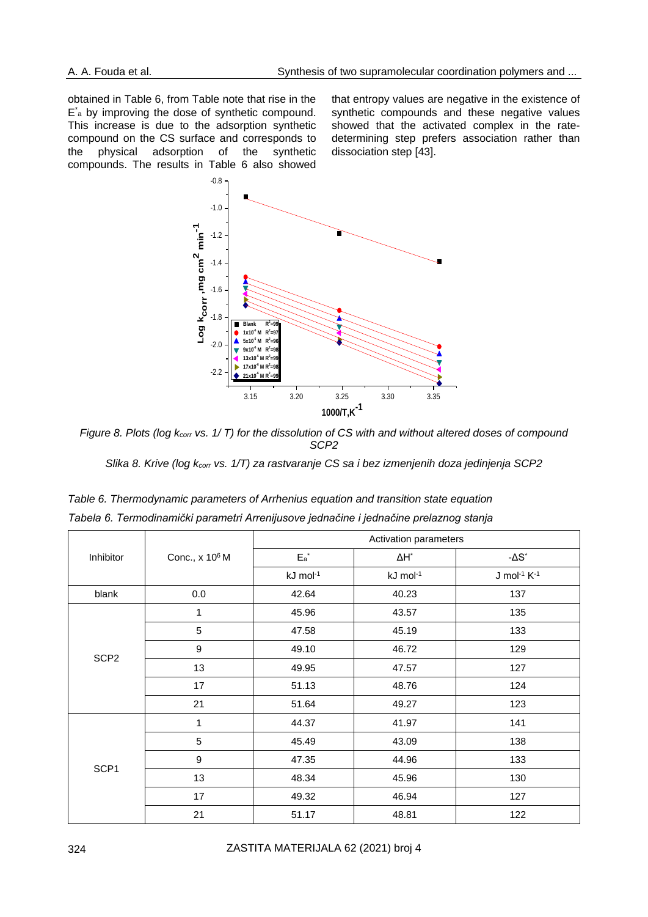obtained in Table 6, from Table note that rise in the E<sup>\*</sup><sub>a</sub> by improving the dose of synthetic compound. This increase is due to the adsorption synthetic compound on the CS surface and corresponds to the physical adsorption of the synthetic compounds. The results in Table 6 also showed

that entropy values are negative in the existence of synthetic compounds and these negative values showed that the activated complex in the ratedetermining step prefers association rather than dissociation step [43].



*Figure 8. Plots (log kcorr vs. 1/ T) for the dissolution of CS with and without altered doses of compound SCP2*

*Slika 8. Krive (log kcorr vs. 1/T) za rastvaranje CS sa i bez izmenjenih doza jedinjenja SCP2*

|                  |                            |                      | Activation parameters |                                         |  |  |  |  |  |
|------------------|----------------------------|----------------------|-----------------------|-----------------------------------------|--|--|--|--|--|
| Inhibitor        | Conc., x 10 <sup>6</sup> M | $\mathsf{E_a}^\star$ | $\Delta H^*$          | - $\Delta S^*$                          |  |  |  |  |  |
|                  |                            | kJ mol <sup>-1</sup> | kJ mol-1              | $J$ mol <sup>-1</sup> $K$ <sup>-1</sup> |  |  |  |  |  |
| blank            | 0.0                        | 42.64                | 40.23                 | 137                                     |  |  |  |  |  |
|                  | 1                          | 45.96                | 43.57                 | 135                                     |  |  |  |  |  |
|                  | 5                          | 47.58                | 45.19                 | 133                                     |  |  |  |  |  |
| SCP <sub>2</sub> | 9                          | 49.10                | 46.72                 | 129                                     |  |  |  |  |  |
|                  | 13                         | 49.95                | 47.57                 | 127                                     |  |  |  |  |  |
|                  | 17                         | 51.13                | 48.76                 | 124                                     |  |  |  |  |  |
|                  | 21                         | 51.64                | 49.27                 | 123                                     |  |  |  |  |  |
|                  | 1                          | 44.37                | 41.97                 | 141                                     |  |  |  |  |  |
|                  | 5                          | 45.49                | 43.09                 | 138                                     |  |  |  |  |  |
|                  | 9                          | 47.35                | 44.96                 | 133                                     |  |  |  |  |  |
| SCP1             | 13                         | 48.34                | 45.96                 | 130                                     |  |  |  |  |  |
|                  | 17                         | 49.32                | 46.94                 | 127                                     |  |  |  |  |  |
|                  | 21                         | 51.17                | 48.81                 | 122                                     |  |  |  |  |  |

*Table 6. Thermodynamic parameters of Arrhenius equation and transition state equation Tabela 6. Termodinamički parametri Arrenijusove jednačine i jednačine prelaznog stanja*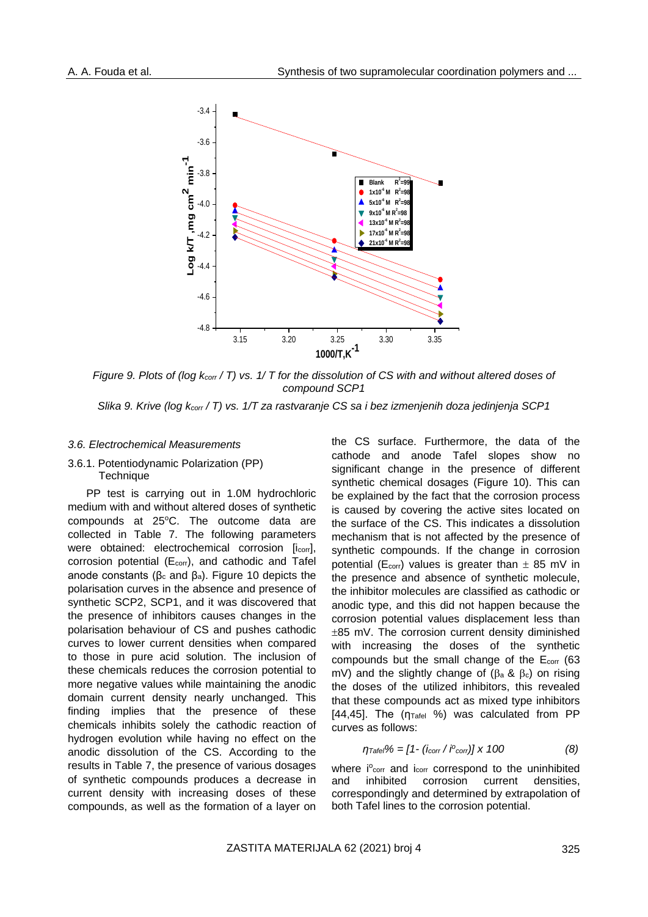

*Figure 9. Plots of (log kcorr / T) vs. 1/ T for the dissolution of CS with and without altered doses of compound SCP1*

#### *Slika 9. Krive (log kcorr / T) vs. 1/T za rastvaranje CS sa i bez izmenjenih doza jedinjenja SCP1*

#### *3.6. Electrochemical Measurements*

#### 3.6.1. Potentiodynamic Polarization (PP) **Technique**

PP test is carrying out in 1.0M hydrochloric medium with and without altered doses of synthetic compounds at 25°C. The outcome data are collected in Table 7. The following parameters were obtained: electrochemical corrosion [i<sub>corr</sub>], corrosion potential (E<sub>corr</sub>), and cathodic and Tafel anode constants ( $β<sub>c</sub>$  and  $β<sub>a</sub>$ ). Figure 10 depicts the polarisation curves in the absence and presence of synthetic SCP2, SCP1, and it was discovered that the presence of inhibitors causes changes in the polarisation behaviour of CS and pushes cathodic curves to lower current densities when compared to those in pure acid solution. The inclusion of these chemicals reduces the corrosion potential to more negative values while maintaining the anodic domain current density nearly unchanged. This finding implies that the presence of these chemicals inhibits solely the cathodic reaction of hydrogen evolution while having no effect on the anodic dissolution of the CS. According to the results in Table 7, the presence of various dosages of synthetic compounds produces a decrease in current density with increasing doses of these compounds, as well as the formation of a layer on

the CS surface. Furthermore, the data of the cathode and anode Tafel slopes show no significant change in the presence of different synthetic chemical dosages (Figure 10). This can be explained by the fact that the corrosion process is caused by covering the active sites located on the surface of the CS. This indicates a dissolution mechanism that is not affected by the presence of synthetic compounds. If the change in corrosion potential ( $E_{corr}$ ) values is greater than  $\pm$  85 mV in the presence and absence of synthetic molecule, the inhibitor molecules are classified as cathodic or anodic type, and this did not happen because the corrosion potential values displacement less than  $±85$  mV. The corrosion current density diminished with increasing the doses of the synthetic compounds but the small change of the Ecorr (63 mV) and the slightly change of ( $\beta$ a &  $\beta$ c) on rising the doses of the utilized inhibitors, this revealed that these compounds act as mixed type inhibitors [44,45]. The  $(\eta_{\text{Tafel}} %iint)$  was calculated from PP curves as follows:

$$
\eta_{\text{Tafel}} \% = [1 - (i_{\text{corr}} / i^{\circ_{\text{corr}}})] \times 100 \tag{8}
$$

where i<sup>o</sup>corr and i<sub>corr</sub> correspond to the uninhibited and inhibited corrosion current densities, correspondingly and determined by extrapolation of both Tafel lines to the corrosion potential.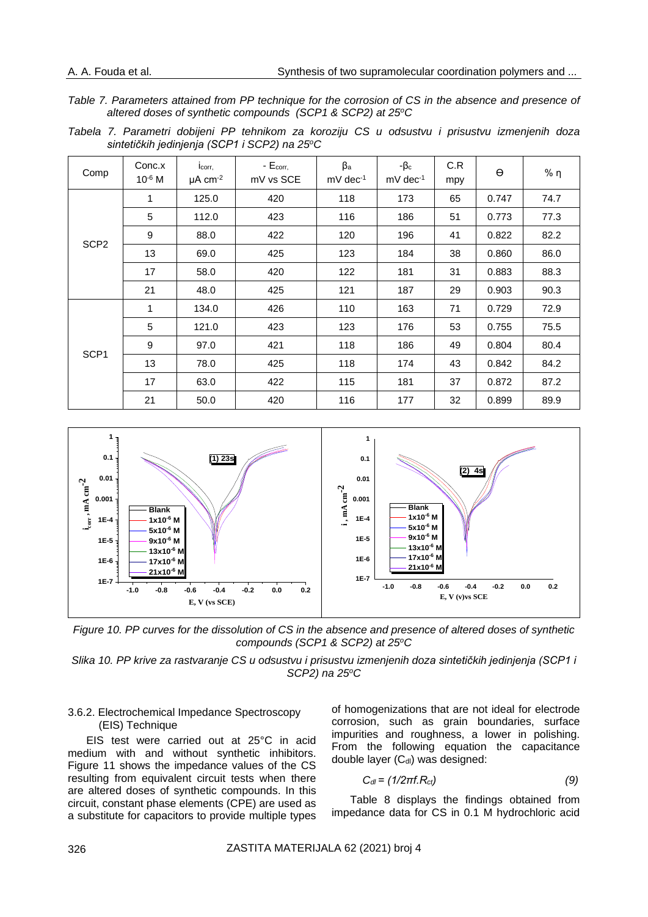*Table 7. Parameters attained from PP technique for the corrosion of CS in the absence and presence of altered doses of synthetic compounds (SCP1 & SCP2) at 25<sup>o</sup>C*

*Tabela 7. Parametri dobijeni PP tehnikom za koroziju CS u odsustvu i prisustvu izmenjenih doza sintetičkih jedinjenja (SCP1 i SCP2) na 25<sup>o</sup>C*

| Comp             | Conc.x<br>10 <sup>-6</sup> M | lcorr,<br>$\mu$ A cm <sup>-2</sup> | $-Ecorr$<br>mV vs SCE | $\beta$ a<br>$mV$ dec <sup>-1</sup> | $-\beta_c$<br>$mV$ dec <sup>-1</sup> | C.R<br>mpy | $\Theta$ | % $\eta$ |
|------------------|------------------------------|------------------------------------|-----------------------|-------------------------------------|--------------------------------------|------------|----------|----------|
|                  | 1                            | 125.0                              | 420                   | 118                                 | 173                                  | 65         | 0.747    | 74.7     |
|                  | 5                            | 112.0                              | 423                   | 116                                 | 186                                  | 51         | 0.773    | 77.3     |
| SCP <sub>2</sub> | 9                            | 88.0                               | 422                   | 120                                 | 196                                  | 41         | 0.822    | 82.2     |
|                  | 13                           | 69.0                               | 425                   | 123                                 | 184                                  | 38         | 0.860    | 86.0     |
|                  | 17                           | 58.0                               | 420                   | 122                                 | 181                                  | 31         | 0.883    | 88.3     |
|                  | 21                           | 48.0                               | 425                   | 121                                 | 187                                  | 29         | 0.903    | 90.3     |
|                  | 1                            | 134.0                              | 426                   | 110                                 | 163                                  | 71         | 0.729    | 72.9     |
|                  | 5                            | 121.0                              | 423                   | 123                                 | 176                                  | 53         | 0.755    | 75.5     |
|                  | 9                            | 97.0                               | 421                   | 118                                 | 186                                  | 49         | 0.804    | 80.4     |
| SCP <sub>1</sub> | 13                           | 78.0                               | 425                   | 118                                 | 174                                  | 43         | 0.842    | 84.2     |
|                  | 17                           | 63.0                               | 422                   | 115                                 | 181                                  | 37         | 0.872    | 87.2     |
|                  | 21                           | 50.0                               | 420                   | 116                                 | 177                                  | 32         | 0.899    | 89.9     |



*Figure 10. PP curves for the dissolution of CS in the absence and presence of altered doses of synthetic compounds (SCP1 & SCP2) at 25<sup>o</sup>C*

*Slika 10. PP krive za rastvaranje CS u odsustvu i prisustvu izmenjenih doza sintetičkih jedinjenja (SCP1 i SCP2) na 25<sup>o</sup>C*

#### 3.6.2. Electrochemical Impedance Spectroscopy (EIS) Technique

EIS test were carried out at 25°C in acid medium with and without synthetic inhibitors. Figure 11 shows the impedance values of the CS resulting from equivalent circuit tests when there are altered doses of synthetic compounds. In this circuit, constant phase elements (CPE) are used as a substitute for capacitors to provide multiple types of homogenizations that are not ideal for electrode corrosion, such as grain boundaries, surface impurities and roughness, a lower in polishing. From the following equation the capacitance double layer  $(C_{d})$  was designed:

$$
C_{dl} = (1/2\pi f.R_{ct})\tag{9}
$$

Table 8 displays the findings obtained from impedance data for CS in 0.1 M hydrochloric acid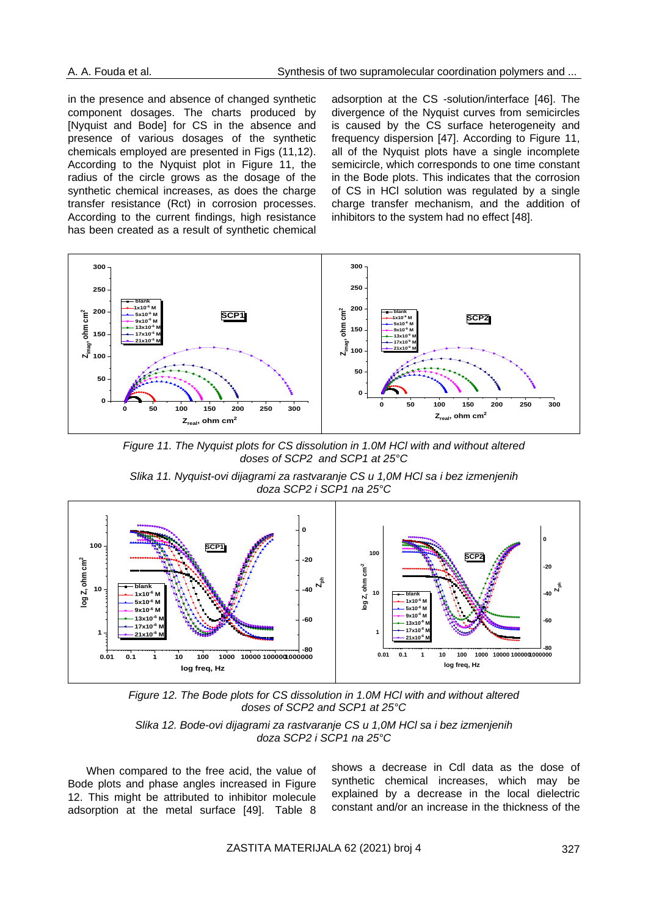in the presence and absence of changed synthetic component dosages. The charts produced by [Nyquist and Bode] for CS in the absence and presence of various dosages of the synthetic chemicals employed are presented in Figs (11,12). According to the Nyquist plot in Figure 11, the radius of the circle grows as the dosage of the synthetic chemical increases, as does the charge transfer resistance (Rct) in corrosion processes. According to the current findings, high resistance has been created as a result of synthetic chemical

adsorption at the CS -solution/interface [46]. The divergence of the Nyquist curves from semicircles is caused by the CS surface heterogeneity and frequency dispersion [47]. According to Figure 11, all of the Nyquist plots have a single incomplete semicircle, which corresponds to one time constant in the Bode plots. This indicates that the corrosion of CS in HCl solution was regulated by a single charge transfer mechanism, and the addition of inhibitors to the system had no effect [48].



*Figure 11. The Nyquist plots for CS dissolution in 1.0M HCl with and without altered doses of SCP2 and SCP1 at 25°C*

*Slika 11. Nyquist-ovi dijagrami za rastvaranje CS u 1,0M HCl sa i bez izmenjenih doza SCP2 i SCP1 na 25°C*



*Figure 12. The Bode plots for CS dissolution in 1.0M HCl with and without altered doses of SCP2 and SCP1 at 25°C*

*Slika 12. Bode-ovi dijagrami za rastvaranje CS u 1,0M HCl sa i bez izmenjenih doza SCP2 i SCP1 na 25°C*

When compared to the free acid, the value of Bode plots and phase angles increased in Figure 12. This might be attributed to inhibitor molecule adsorption at the metal surface [49]. Table 8

shows a decrease in Cdl data as the dose of synthetic chemical increases, which may be explained by a decrease in the local dielectric constant and/or an increase in the thickness of the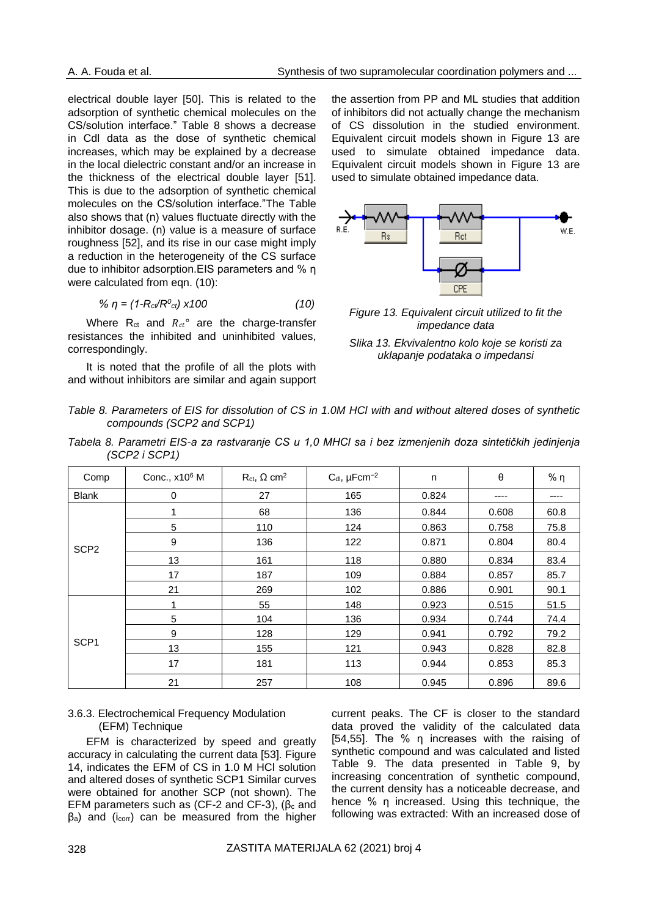electrical double layer [50]. This is related to the adsorption of synthetic chemical molecules on the CS/solution interface." Table 8 shows a decrease in Cdl data as the dose of synthetic chemical increases, which may be explained by a decrease in the local dielectric constant and/or an increase in the thickness of the electrical double layer [51]. This is due to the adsorption of synthetic chemical molecules on the CS/solution interface."The Table also shows that (n) values fluctuate directly with the inhibitor dosage. (n) value is a measure of surface roughness [52], and its rise in our case might imply a reduction in the heterogeneity of the CS surface due to inhibitor adsorption.EIS parameters and % η were calculated from eqn. (10):

$$
\% \eta = (1 - R_{ct}/R_{ct}^0) \times 100 \tag{10}
$$

Where  $R_{ct}$  and  $R_{ct}$ ° are the charge-transfer resistances the inhibited and uninhibited values, correspondingly.

It is noted that the profile of all the plots with and without inhibitors are similar and again support the assertion from PP and ML studies that addition of inhibitors did not actually change the mechanism of CS dissolution in the studied environment. Equivalent circuit models shown in Figure 13 are used to simulate obtained impedance data. Equivalent circuit models shown in Figure 13 are used to simulate obtained impedance data.



*Figure 13. Equivalent circuit utilized to fit the impedance data*

*Slika 13. Ekvivalentno kolo koje se koristi za uklapanje podataka o impedansi*

*Table 8. Parameters of EIS for dissolution of CS in 1.0M HCl with and without altered doses of synthetic compounds (SCP2 and SCP1)*

*Tabela 8. Parametri EIS-a za rastvaranje CS u 1,0 MHCl sa i bez izmenjenih doza sintetičkih jedinjenja (SCP2 i SCP1)*

| Comp             | Conc., x10 <sup>6</sup> M | $R_{ct}$ , $\Omega$ cm <sup>2</sup> | C <sub>dl</sub> , µFcm <sup>-2</sup> | n     | θ     | % η  |
|------------------|---------------------------|-------------------------------------|--------------------------------------|-------|-------|------|
| <b>Blank</b>     | 0                         | 27                                  | 165                                  | 0.824 | ----  |      |
|                  |                           | 68                                  | 136                                  | 0.844 | 0.608 | 60.8 |
|                  | 5                         | 110                                 | 124                                  | 0.863 | 0.758 | 75.8 |
| SCP <sub>2</sub> | 9                         | 136                                 | 122                                  | 0.871 | 0.804 | 80.4 |
|                  | 13                        | 161                                 | 118                                  | 0.880 | 0.834 | 83.4 |
|                  | 17                        | 187                                 | 109                                  | 0.884 | 0.857 | 85.7 |
|                  | 21                        | 269                                 | 102                                  | 0.886 | 0.901 | 90.1 |
|                  |                           | 55                                  | 148                                  | 0.923 | 0.515 | 51.5 |
|                  | 5                         | 104                                 | 136                                  | 0.934 | 0.744 | 74.4 |
|                  | 9                         | 128                                 | 129                                  | 0.941 | 0.792 | 79.2 |
| SCP <sub>1</sub> | 13                        | 155                                 | 121                                  | 0.943 | 0.828 | 82.8 |
|                  | 17                        | 181                                 | 113                                  | 0.944 | 0.853 | 85.3 |
|                  | 21                        | 257                                 | 108                                  | 0.945 | 0.896 | 89.6 |

#### 3.6.3. Electrochemical Frequency Modulation (EFM) Technique

EFM is characterized by speed and greatly accuracy in calculating the current data [53]. Figure 14, indicates the EFM of CS in 1.0 M HCl solution and altered doses of synthetic SCP1 Similar curves were obtained for another SCP (not shown). The EFM parameters such as (CF-2 and CF-3),  $(\beta_c \text{ and } \beta_c)$ βa) and (icorr) can be measured from the higher

current peaks. The CF is closer to the standard data proved the validity of the calculated data [54,55]. The % η increases with the raising of synthetic compound and was calculated and listed Table 9. The data presented in Table 9, by increasing concentration of synthetic compound, the current density has a noticeable decrease, and hence % η increased. Using this technique, the following was extracted: With an increased dose of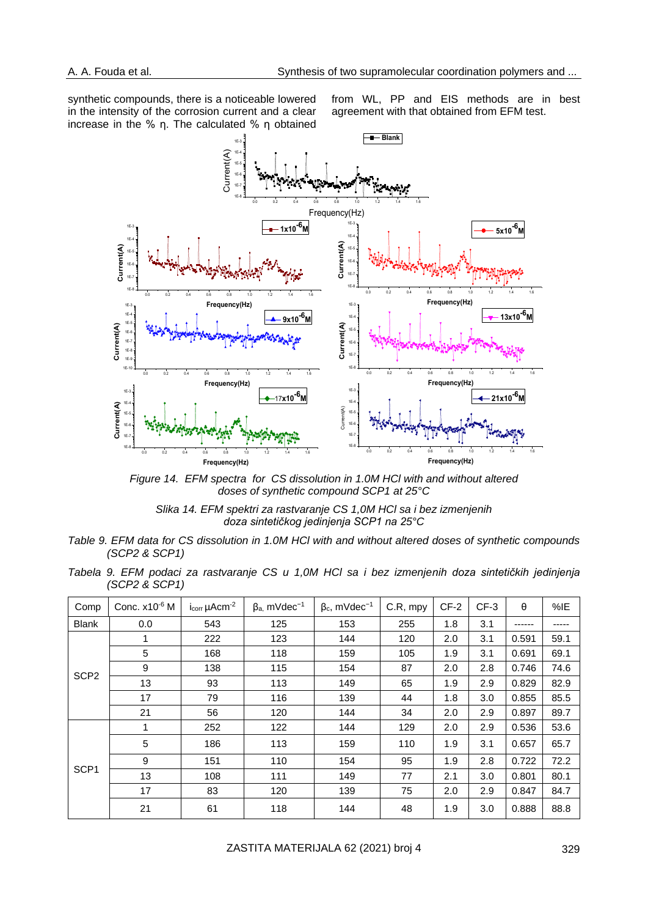synthetic compounds, there is a noticeable lowered in the intensity of the corrosion current and a clear increase in the % η. The calculated % η obtained

from WL, PP and EIS methods are in best agreement with that obtained from EFM test.



*Figure 14. EFM spectra for CS dissolution in 1.0M HCl with and without altered doses of synthetic compound SCP1 at 25°C*

*Slika 14. EFM spektri za rastvaranje CS 1,0M HCl sa i bez izmenjenih doza sintetičkog jedinjenja SCP1 na 25°C*

- *Table 9. EFM data for CS dissolution in 1.0M HCl with and without altered doses of synthetic compounds (SCP2 & SCP1)*
- *Tabela 9. EFM podaci za rastvaranje CS u 1,0M HCl sa i bez izmenjenih doza sintetičkih jedinjenja (SCP2 & SCP1)*

| Comp             | Conc. x10 <sup>-6</sup> M | lcorr µAcm <sup>-2</sup> | $\beta$ <sub>a</sub> , mVdec <sup>-1</sup> | $\beta_c$ , mVdec <sup>-1</sup> | C.R, mpy | $CF-2$ | $CF-3$ | $\theta$ | %E   |
|------------------|---------------------------|--------------------------|--------------------------------------------|---------------------------------|----------|--------|--------|----------|------|
| <b>Blank</b>     | 0.0                       | 543                      | 125                                        | 153                             | 255      | 1.8    | 3.1    | ------   |      |
|                  | 1                         | 222                      | 123                                        | 144                             | 120      | 2.0    | 3.1    | 0.591    | 59.1 |
|                  | 5                         | 168                      | 118                                        | 159                             | 105      | 1.9    | 3.1    | 0.691    | 69.1 |
| SCP <sub>2</sub> | 9                         | 138                      | 115                                        | 154                             | 87       | 2.0    | 2.8    | 0.746    | 74.6 |
|                  | 13                        | 93                       | 113                                        | 149                             | 65       | 1.9    | 2.9    | 0.829    | 82.9 |
|                  | 17                        | 79                       | 116                                        | 139                             | 44       | 1.8    | 3.0    | 0.855    | 85.5 |
|                  | 21                        | 56                       | 120                                        | 144                             | 34       | 2.0    | 2.9    | 0.897    | 89.7 |
|                  | 1                         | 252                      | 122                                        | 144                             | 129      | 2.0    | 2.9    | 0.536    | 53.6 |
|                  | 5                         | 186                      | 113                                        | 159                             | 110      | 1.9    | 3.1    | 0.657    | 65.7 |
|                  | 9                         | 151                      | 110                                        | 154                             | 95       | 1.9    | 2.8    | 0.722    | 72.2 |
| SCP <sub>1</sub> | 13                        | 108                      | 111                                        | 149                             | 77       | 2.1    | 3.0    | 0.801    | 80.1 |
|                  | 17                        | 83                       | 120                                        | 139                             | 75       | 2.0    | 2.9    | 0.847    | 84.7 |
|                  | 21                        | 61                       | 118                                        | 144                             | 48       | 1.9    | 3.0    | 0.888    | 88.8 |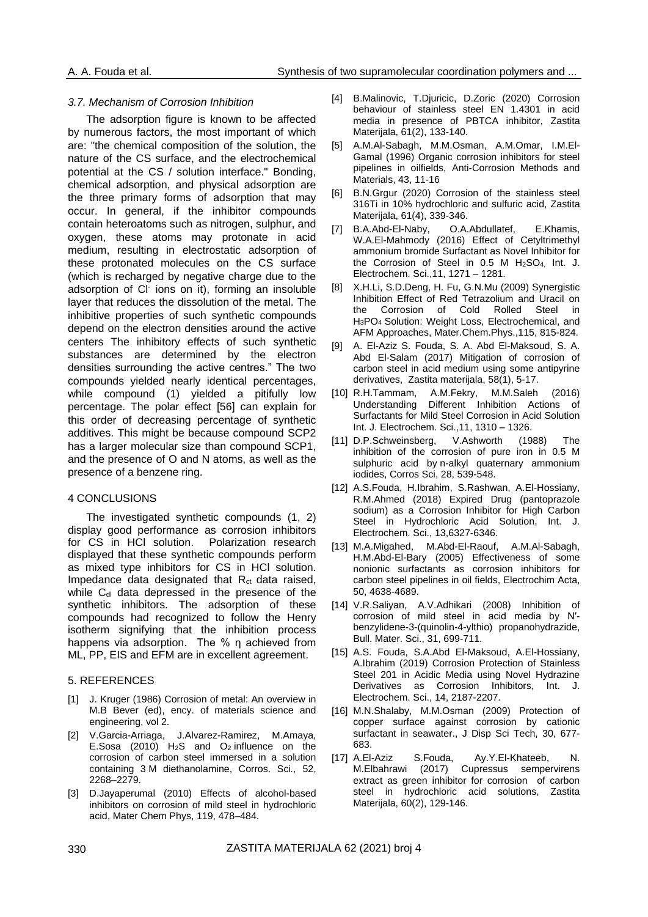### *3.7. Mechanism of Corrosion Inhibition*

The adsorption figure is known to be affected by numerous factors, the most important of which are: "the chemical composition of the solution, the nature of the CS surface, and the electrochemical potential at the CS / solution interface." Bonding, chemical adsorption, and physical adsorption are the three primary forms of adsorption that may occur. In general, if the inhibitor compounds contain heteroatoms such as nitrogen, sulphur, and oxygen, these atoms may protonate in acid medium, resulting in electrostatic adsorption of these protonated molecules on the CS surface (which is recharged by negative charge due to the adsorption of CI<sup>-</sup> ions on it), forming an insoluble layer that reduces the dissolution of the metal. The inhibitive properties of such synthetic compounds depend on the electron densities around the active centers The inhibitory effects of such synthetic substances are determined by the electron densities surrounding the active centres." The two compounds yielded nearly identical percentages, while compound (1) yielded a pitifully low percentage. The polar effect [56] can explain for this order of decreasing percentage of synthetic additives. This might be because compound SCP2 has a larger molecular size than compound SCP1, and the presence of O and N atoms, as well as the presence of a benzene ring.

# 4 CONCLUSIONS

The investigated synthetic compounds (1, 2) display good performance as corrosion inhibitors for CS in HCl solution. Polarization research displayed that these synthetic compounds perform as mixed type inhibitors for CS in HCl solution. Impedance data designated that  $R<sub>ct</sub>$  data raised, while C<sub>dl</sub> data depressed in the presence of the synthetic inhibitors. The adsorption of these compounds had recognized to follow the Henry isotherm signifying that the inhibition process happens via adsorption. The % η achieved from ML, PP, EIS and EFM are in excellent agreement.

#### 5. REFERENCES

- [1] J. Kruger (1986) Corrosion of metal: An overview in M.B Bever (ed), ency. of materials science and engineering, vol 2.
- [2] V.Garcia-Arriaga, J.Alvarez-Ramirez, M.Amaya, E.Sosa (2010)  $H_2S$  and  $O_2$  influence on the corrosion of carbon steel immersed in a solution containing 3 M diethanolamine, Corros. Sci*.,* 52, 2268–2279.
- [3] D.Jayaperumal (2010) Effects of alcohol-based inhibitors on corrosion of mild steel in hydrochloric acid, Mater Chem Phys, 119, 478–484.
- [4] B.Malinovic, T.Djuricic, D.Zoric (2020) Corrosion behaviour of stainless steel EN 1.4301 in acid media in presence of PBTCA inhibitor, Zastita Materijala, 61(2), 133-140.
- [5] A.M.Al-Sabagh, M.M.Osman, A.M.Omar, I.M.El-Gamal (1996) Organic corrosion inhibitors for steel pipelines in oilfields, Anti-Corrosion Methods and Materials, 43, 11-16
- [6] B.N.Graur (2020) Corrosion of the stainless steel 316Ti in 10% hydrochloric and sulfuric acid, Zastita Materijala, 61(4), 339-346.
- [7] B.A.Abd-El-Naby, O.A.Abdullatef, E.Khamis, W.A.El-Mahmody (2016) Effect of Cetyltrimethyl ammonium bromide Surfactant as Novel Inhibitor for the Corrosion of Steel in 0.5 M H2SO4, Int. J. Electrochem. Sci.,11, 1271 – 1281.
- [8] X.H.Li, S.D.Deng, H. Fu, G.N.Mu (2009) Synergistic Inhibition Effect of Red Tetrazolium and Uracil on the Corrosion of Cold Rolled Steel in H3PO<sup>4</sup> Solution: Weight Loss, Electrochemical, and AFM Approaches, Mater.Chem.Phys.,115, 815-824.
- [9] A. El-Aziz S. Fouda, S. A. Abd El-Maksoud, S. A. Abd El-Salam (2017) Mitigation of corrosion of carbon steel in acid medium using some antipyrine derivatives, Zastita materijala, 58(1), 5-17.
- [10] R.H.Tammam, A.M.Fekry, M.M.Saleh (2016) Understanding Different Inhibition Actions of Surfactants for Mild Steel Corrosion in Acid Solution Int. J. Electrochem. Sci.,11, 1310 – 1326.
- [11] D.P.Schweinsberg, V.Ashworth (1988) The [inhibition of the corrosion of pure iron in 0.5 M](https://www.sciencedirect.com/science/article/pii/0010938X88900224)  sulphuric acid by n-alkyl quaternary ammonium [iodides,](https://www.sciencedirect.com/science/article/pii/0010938X88900224) Corros Sci, 28, 539-548.
- [12] A.S.Fouda, H.Ibrahim, S.Rashwan, A.El-Hossiany, R.M.Ahmed (2018) Expired Drug (pantoprazole sodium) as a Corrosion Inhibitor for High Carbon Steel in Hydrochloric Acid Solution, Int. J. Electrochem. Sci., 13,6327-6346.
- [13] M.A.Migahed, M.Abd-El-Raouf, A.M.Al-Sabagh, H.M.Abd-El-Bary (2005) Effectiveness of some nonionic surfactants as corrosion inhibitors for carbon steel pipelines in oil fields, Electrochim Acta, 50, 4638-4689.
- [14] V.R.Saliyan, A.V.Adhikari (2008) Inhibition of corrosion of mild steel in acid media by N′ benzylidene-3-(quinolin-4-ylthio) propanohydrazide, Bull. Mater. Sci., 31, 699-711.
- [15] A.S. Fouda, S.A.Abd El-Maksoud, A.El-Hossiany, A.Ibrahim (2019) Corrosion Protection of Stainless Steel 201 in Acidic Media using Novel Hydrazine Derivatives as Corrosion Inhibitors, Int. J. Electrochem. Sci., 14, 2187-2207.
- [16] M.N.Shalaby, M.M.Osman (2009) Protection of copper surface against corrosion by cationic surfactant in seawater., J Disp Sci Tech, 30, 677- 683.
- [17] A.El-Aziz S.Fouda, Av.Y.El-Khateeb, M.Elbahrawi (2017) Cupressus sempervirens extract as green inhibitor for corrosion of carbon steel in hydrochloric acid solutions, Zastita Materijala, 60(2), 129-146.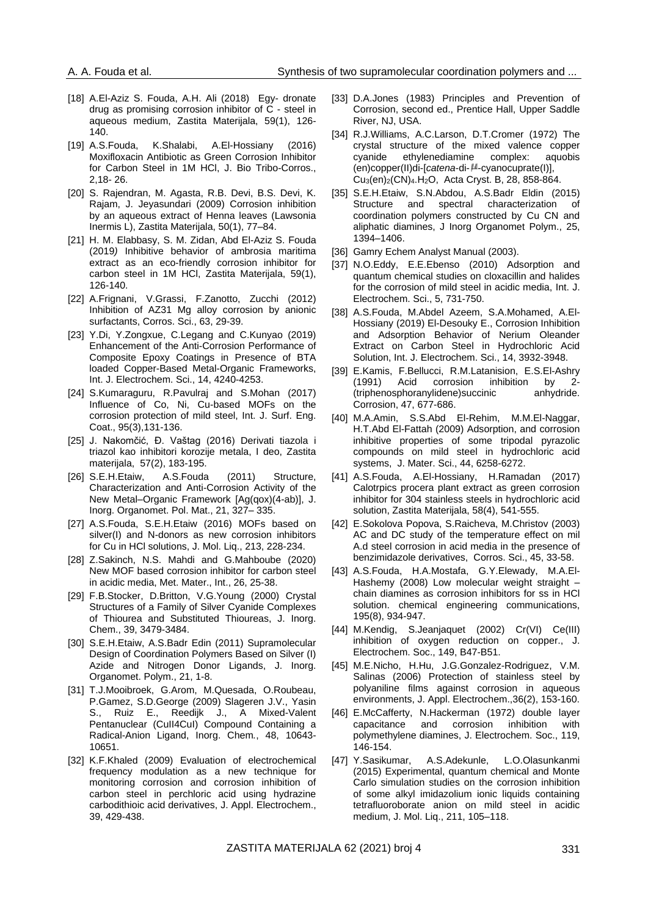- [18] A.El-Aziz S. Fouda, A.H. Ali (2018) Egy- dronate drug as promising corrosion inhibitor of C - steel in aqueous medium, Zastita Materijala, 59(1), 126- 140.
- [19] A.S.Fouda, K.Shalabi, A.El-Hossiany (2016) Moxifloxacin Antibiotic as Green Corrosion Inhibitor for Carbon Steel in 1M HCl, J. Bio Tribo-Corros., 2,18- 26.
- [20] S. Rajendran, M. Agasta, R.B. Devi, B.S. Devi, K. Rajam, J. Jeyasundari (2009) Corrosion inhibition by an aqueous extract of Henna leaves (Lawsonia Inermis L), Zastita Materijala, 50(1), 77–84.
- [21] H. M. Elabbasy, S. M. Zidan, Abd El-Aziz S. Fouda (2019*)* Inhibitive behavior of ambrosia maritima extract as an eco-friendly corrosion inhibitor for carbon steel in 1M HCl, Zastita Materijala, 59(1), 126-140.
- [22] A.Frignani, V.Grassi, F.Zanotto, Zucchi (2012) Inhibition of AZ31 Mg alloy corrosion by anionic surfactants, Corros. Sci., 63, 29-39.
- [23] Y.Di, Y.Zongxue, C.Legang and C.Kunyao (2019) Enhancement of the Anti-Corrosion Performance of Composite Epoxy Coatings in Presence of BTA loaded Copper-Based Metal-Organic Frameworks, Int. J. Electrochem. Sci., 14, 4240-4253.
- [24] S.Kumaraguru, R.Pavulraj and S.Mohan (2017) Influence of Co, Ni, Cu-based MOFs on the corrosion protection of mild steel, Int. J. Surf. Eng. Coat., 95(3),131-136.
- [25] J. Nakomčić, Đ. Vaštag (2016) Derivati tiazola i triazol kao inhibitori korozije metala, I deo, Zastita materijala, 57(2), 183-195.
- [26] S.E.H.Etaiw, A.S.Fouda (2011) Structure, Characterization and Anti-Corrosion Activity of the New Metal–Organic Framework [Ag(qox)(4-ab)], J. Inorg. Organomet. Pol. Mat., 21, 327– 335.
- [27] A.S.Fouda, S.E.H.Etaiw (2016) MOFs based on silver(I) and N-donors as new corrosion inhibitors for Cu in HCl solutions, J. Mol. Liq., 213, 228-234.
- [28] Z.Sakinch, N.S. Mahdi and G.Mahboube (2020) New MOF based corrosion inhibitor for carbon steel in acidic media, Met. Mater., Int., 26, 25-38.
- [29] F.B.Stocker, D.Britton, V.G.Young (2000) Crystal Structures of a Family of Silver Cyanide Complexes of Thiourea and Substituted Thioureas, J. Inorg. Chem., 39, 3479-3484.
- [30] S.E.H.Etaiw, A.S.Badr Edin (2011) [Supramolecular](https://link.springer.com/article/10.1007/s10904-010-9427-9)  [Design of Coordination Polymers Based on Silver \(I\)](https://link.springer.com/article/10.1007/s10904-010-9427-9)  [Azide and Nitrogen Donor Ligands,](https://link.springer.com/article/10.1007/s10904-010-9427-9) J. Inorg. Organomet. Polym., 21, 1-8.
- [31] T.J.Mooibroek, G.Arom, M.Quesada, O.Roubeau, P.Gamez, S.D.George (2009) Slageren J.V., Yasin S., Ruiz E., Reedijk J., A Mixed-Valent Pentanuclear (CuII4CuI) Compound Containing a Radical-Anion Ligand, Inorg. Chem*.*, 48, 10643- 10651.
- [32] K.F.Khaled (2009) Evaluation of electrochemical frequency modulation as a new technique for monitoring corrosion and corrosion inhibition of carbon steel in perchloric acid using hydrazine carbodithioic acid derivatives, J. Appl. Electrochem., 39, 429-438.
- [33] D.A.Jones (1983) Principles and Prevention of Corrosion, second ed., Prentice Hall, Upper Saddle River, NJ, USA.
- [34] R.J.Williams, A.C.Larson, D.T.Cromer (1972) [The](https://journals.iucr.org/b/issues/1972/03/00/a08935/a08935.pdf)  [crystal structure of the mixed valence copper](https://journals.iucr.org/b/issues/1972/03/00/a08935/a08935.pdf)  [cyanide ethylenediamine](https://journals.iucr.org/b/issues/1972/03/00/a08935/a08935.pdf) complex: aquobis (en)copper(II)di-[*catena*-di- $\mu$ -cyanocuprate(I)], Cu3(en)2[\(CN\)](https://journals.iucr.org/b/issues/1972/03/00/a08935/a08935.pdf)4.H2O, Acta Cryst. B, 28, 858-864.
- [35] S.E.H.Etaiw, S.N.Abdou, A.S.Badr Eldin (2015) [Structure and spectral characterization of](https://link.springer.com/article/10.1007/s10904-015-0252-z)  [coordination polymers constructed by Cu CN and](https://link.springer.com/article/10.1007/s10904-015-0252-z)  [aliphatic diamines,](https://link.springer.com/article/10.1007/s10904-015-0252-z) J Inorg Organomet Polym., 25, 1394–1406.
- [36] Gamry Echem Analyst Manual (2003).
- [37] N.O.Eddy, E.E.Ebenso (2010) Adsorption and quantum chemical studies on cloxacillin and halides for the corrosion of mild steel in acidic media, Int. J. Electrochem. Sci., 5, 731-750.
- [38] A.S.Fouda, M.Abdel Azeem, S.A.Mohamed, A.El-Hossiany (2019) El-Desouky E., Corrosion Inhibition and Adsorption Behavior of Nerium Oleander Extract on Carbon Steel in Hydrochloric Acid Solution, Int. J. Electrochem. Sci., 14, 3932-3948.
- [39] E.Kamis, F.Bellucci, R.M.Latanision, E.S.El-Ashry (1991) Acid corrosion inhibition by 2- (triphenosphoranylidene)succinic anhydride. Corrosion, 47, 677-686.
- [40] M.A.Amin, S.S.Abd El-Rehim, M.M.El-Naggar, H.T.Abd El-Fattah (2009) Adsorption, and corrosion inhibitive properties of some tripodal pyrazolic compounds on mild steel in hydrochloric acid systems, J. Mater. Sci., 44, 6258-6272.
- [41] A.S.Fouda, A.El-Hossiany, H.Ramadan (2017) Calotrpics procera plant extract as green corrosion inhibitor for 304 stainless steels in hydrochloric acid solution, Zastita Materijala, 58(4), 541-555.
- [42] E.Sokolova Popova, S.Raicheva, M.Christov (2003) AC and DC study of the temperature effect on mil A.d steel corrosion in acid media in the presence of benzimidazole derivatives, Corros. Sci., 45, 33-58.
- [43] A.S.Fouda, H.A.Mostafa, G.Y.Elewady, M.A.El-Hashemy (2008) Low molecular weight straight chain diamines as corrosion inhibitors for ss in HCl solution. chemical engineering communications, 195(8), 934-947.
- [44] M.Kendig, S.Jeanjaquet (2002) Cr(VI) Ce(III) inhibition of oxygen reduction on copper., J. Electrochem. Soc., 149, B47-B51.
- [45] M.E.Nicho, H.Hu, J.G.Gonzalez-Rodriguez, V.M. Salinas (2006) Protection of stainless steel by polyaniline films against corrosion in aqueous environments, J. Appl. Electrochem.,36(2), 153-160.
- [46] E.McCafferty, N.Hackerman (1972) double layer capacitance and corrosion inhibition with polymethylene diamines, J. Electrochem. Soc., 119, 146-154.
- [47] Y.Sasikumar, A.S.Adekunle, L.O.Olasunkanmi (2015) Experimental, quantum chemical and Monte Carlo simulation studies on the corrosion inhibition of some alkyl imidazolium ionic liquids containing tetrafluoroborate anion on mild steel in acidic medium, J. Mol. Liq., 211, 105–118.